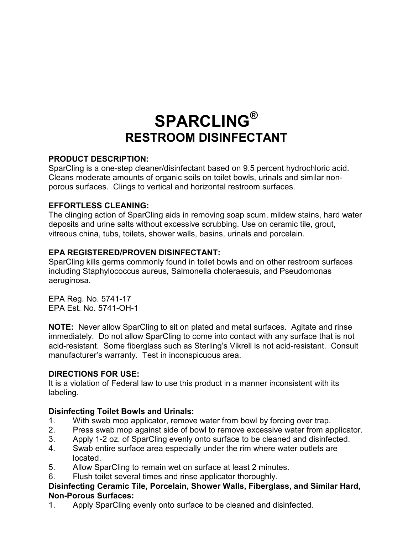# **SPARCLING® RESTROOM DISINFECTANT**

## **PRODUCT DESCRIPTION:**

SparCling is a one-step cleaner/disinfectant based on 9.5 percent hydrochloric acid. Cleans moderate amounts of organic soils on toilet bowls, urinals and similar nonporous surfaces. Clings to vertical and horizontal restroom surfaces.

## **EFFORTLESS CLEANING:**

The clinging action of SparCling aids in removing soap scum, mildew stains, hard water deposits and urine salts without excessive scrubbing. Use on ceramic tile, grout, vitreous china, tubs, toilets, shower walls, basins, urinals and porcelain.

## **EPA REGISTERED/PROVEN DISINFECTANT:**

SparCling kills germs commonly found in toilet bowls and on other restroom surfaces including Staphylococcus aureus, Salmonella choleraesuis, and Pseudomonas aeruginosa.

EPA Reg. No. 5741-17 EPA Est. No. 5741-OH-1

**NOTE:** Never allow SparCling to sit on plated and metal surfaces. Agitate and rinse immediately. Do not allow SparCling to come into contact with any surface that is not acid-resistant. Some fiberglass such as Sterling's Vikrell is not acid-resistant. Consult manufacturer's warranty. Test in inconspicuous area.

## **DIRECTIONS FOR USE:**

It is a violation of Federal law to use this product in a manner inconsistent with its labeling.

# **Disinfecting Toilet Bowls and Urinals:**

- 1. With swab mop applicator, remove water from bowl by forcing over trap.
- 2. Press swab mop against side of bowl to remove excessive water from applicator.
- 3. Apply 1-2 oz. of SparCling evenly onto surface to be cleaned and disinfected.
- 4. Swab entire surface area especially under the rim where water outlets are located.
- 5. Allow SparCling to remain wet on surface at least 2 minutes.
- 6. Flush toilet several times and rinse applicator thoroughly.

#### **Disinfecting Ceramic Tile, Porcelain, Shower Walls, Fiberglass, and Similar Hard, Non-Porous Surfaces:**

1. Apply SparCling evenly onto surface to be cleaned and disinfected.